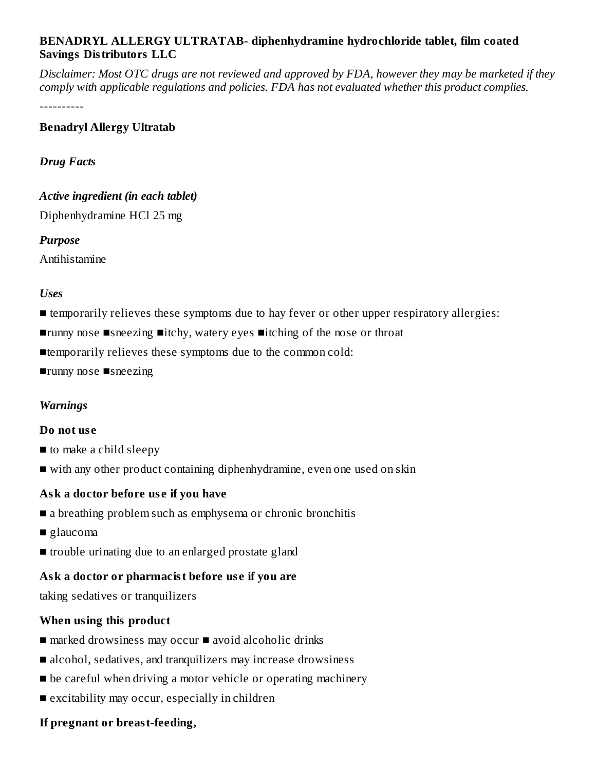### **BENADRYL ALLERGY ULTRATAB- diphenhydramine hydrochloride tablet, film coated Savings Distributors LLC**

Disclaimer: Most OTC drugs are not reviewed and approved by FDA, however they may be marketed if they *comply with applicable regulations and policies. FDA has not evaluated whether this product complies.*

----------

#### **Benadryl Allergy Ultratab**

*Drug Facts*

### *Active ingredient (in each tablet)*

Diphenhydramine HCl 25 mg

#### *Purpose*

Antihistamine

#### *Uses*

- temporarily relieves these symptoms due to hay fever or other upper respiratory allergies:
- ■runny nose ■sneezing ■itchy, watery eyes ■itching of the nose or throat

■temporarily relieves these symptoms due to the common cold:

■runny nose ■sneezing

### *Warnings*

#### **Do not us e**

- to make a child sleepy
- with any other product containing diphenhydramine, even one used on skin

### **Ask a doctor before us e if you have**

- a breathing problem such as emphysema or chronic bronchitis
- glaucoma
- trouble urinating due to an enlarged prostate gland

### **Ask a doctor or pharmacist before us e if you are**

taking sedatives or tranquilizers

### **When using this product**

- marked drowsiness may occur avoid alcoholic drinks
- alcohol, sedatives, and tranquilizers may increase drowsiness
- be careful when driving a motor vehicle or operating machinery
- excitability may occur, especially in children

### **If pregnant or breast-feeding,**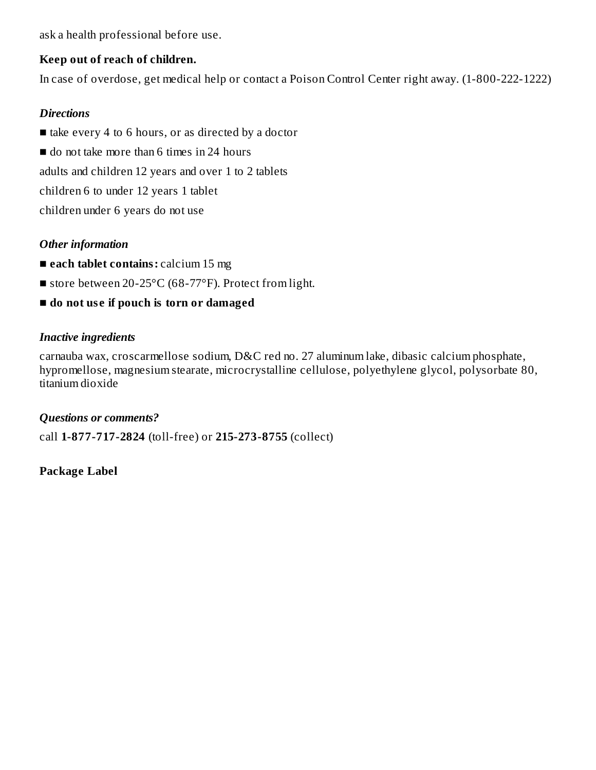ask a health professional before use.

### **Keep out of reach of children.**

In case of overdose, get medical help or contact a Poison Control Center right away. (1-800-222-1222)

## *Directions*

■ take every 4 to 6 hours, or as directed by a doctor

■ do not take more than 6 times in 24 hours

adults and children 12 years and over 1 to 2 tablets

children 6 to under 12 years 1 tablet

children under 6 years do not use

# *Other information*

- **each tablet contains:** calcium 15 mg
- store between 20-25°C (68-77°F). Protect from light.
- **■ do not us e if pouch is torn or damaged**

## *Inactive ingredients*

carnauba wax, croscarmellose sodium, D&C red no. 27 aluminum lake, dibasic calcium phosphate, hypromellose, magnesium stearate, microcrystalline cellulose, polyethylene glycol, polysorbate 80, titanium dioxide

# *Questions or comments?*

call **1-877-717-2824** (toll-free) or **215-273-8755** (collect)

# **Package Label**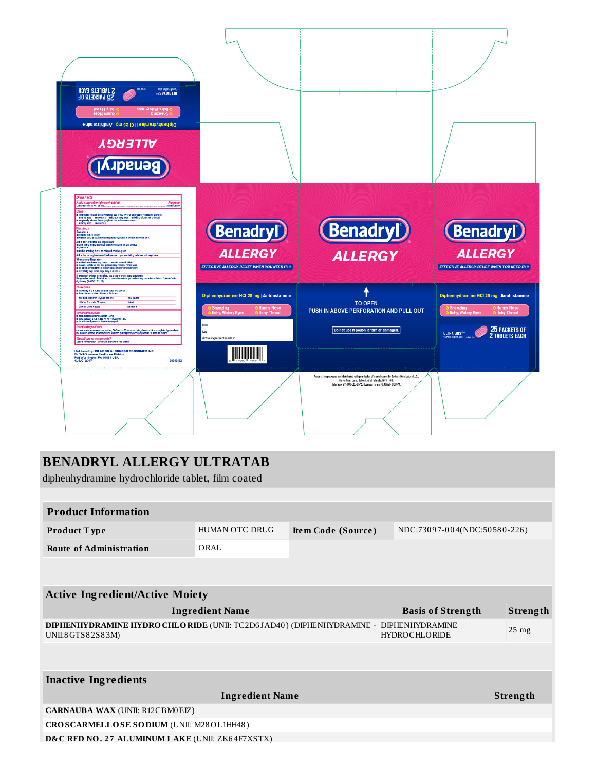| <b>COMPANY AND ASSESSED</b><br>The Sales Band of Hemat<br>2 TABLETS EACH<br>25 PACKETS of<br><b>DR ISSICA</b><br><b>Humy Nose</b><br>Humy Nose<br>kchy, Watery Eyes<br>Dip ho nhydra min e HCl 25 mg   Antih ista min e<br><b>ALLERGY</b><br><b>Denagr</b>                                                                                                                                                                                                                                                                                                                                                                                                                                                                                                                                                                                                                                                                                                                                                                                                                                                                                                                                                                        |                                                                                                                                                                     |                                                                                                                                                                                                                             |                                                                                                                                                                                                                                     |
|-----------------------------------------------------------------------------------------------------------------------------------------------------------------------------------------------------------------------------------------------------------------------------------------------------------------------------------------------------------------------------------------------------------------------------------------------------------------------------------------------------------------------------------------------------------------------------------------------------------------------------------------------------------------------------------------------------------------------------------------------------------------------------------------------------------------------------------------------------------------------------------------------------------------------------------------------------------------------------------------------------------------------------------------------------------------------------------------------------------------------------------------------------------------------------------------------------------------------------------|---------------------------------------------------------------------------------------------------------------------------------------------------------------------|-----------------------------------------------------------------------------------------------------------------------------------------------------------------------------------------------------------------------------|-------------------------------------------------------------------------------------------------------------------------------------------------------------------------------------------------------------------------------------|
| <b>Drug Facts</b><br><b>Purpos</b><br>Anthibiants<br><b>Heat</b><br><b>Case</b><br><b>Examples these operators due to hay fives or other upper respiratory silengles:<br/> <b>Examples of the state of the control of the control of the first respirator</b><br/> <b>Examples in the state of the control of the control </b></b><br>Warnings<br><b>Do notuse</b><br>a to make a child sleepy<br>as with any other product containing diphently dramine, even one used on side<br>Ask a doctor before use if you have<br>an atrosfring problem such as emplysema or chronic bring pustoma<br>in tradition whething due to an enterged prostate gland<br>Ask a doctor or pharma cist before use if you are taking sedatives or tranquitzers<br>When using this product<br><b>MINIMATE STATE AND STATE SERVER AND STATE STATES OF STATES IN A SOLUTION STATE STATE STATES IN A STATE STATE STATE STATES IN A STATE STATE STATE STATES IN A STATE STATE STATE STATES IN A STATE STATE STATE STATES IN A STAT</b><br>If pregnant or tireant-leading, ask a health professional before use.<br>Keep out of reach of children, in case of overdose, get medical halp or contact a Polson Control Center<br>right way, (1-800-223-1222) | Benadryl<br><b>ALLERGY</b><br><b>EFFECTIVE ALLERGY RELIEF WHEN YOU NEED IT! *</b>                                                                                   | <b>Benadryl</b><br><b>ALLERGY</b>                                                                                                                                                                                           | <b>Benadry</b><br><b>ALLERGY</b><br><b>EFFECTIVE ALLERGY RELIEF WHEN YOU NEED IT!</b> *                                                                                                                                             |
| a take every 4 to 6 hours, or as directed by a doctor<br>as do not take more than 6 times in 24 hours<br>adults and children 12 years and over<br>1 to 2 tablets<br>children 6 to under 12 years<br>11st/et<br>constuse<br>children under 6 years<br>Otherinformation<br><b>University Contains Contains Contains Contains Contains Contains Contains Contains Contains Contains Contains Contains Contains Contains Contains Contains Contains Contains Contains Contains Contains Contains Contains Con</b><br>.<br>Îrnactive imgredients<br>mapresiun steates, nicocrystaline celulos, polyetylere giyosi, polyentele 80, thankin chosphele, hige<br>magnesiun steatale, nicocrystaline celulose, polyetylere giyosi, polyentele 80, thankin chorles<br>Questions or co.<br>cal 1-872-712-2824 (tol-free) or 275-273-8755 (collect)<br>Distributed by: <b>JOHNSON &amp; JOHNSON CONSUMER INC.</b><br>McNeil Consumer Healthcare Division<br>Fort Weshington, PA 19034 USA<br>©J&JCI 2017<br>30040482                                                                                                                                                                                                                           | Diphenhydramine HCl 25 mg   Antihistamine<br>Sneezing<br>Itchy, Watery Eyes<br><b>Runny Nose</b><br><b>Itchy Throat</b><br>Exp:<br>Lot<br>Active ingredient made in | ↟<br><b>TO OPEN</b><br>PUSH IN ABOVE PERFORATION AND PULL OUT<br>Do not use if pouch is torn or damaged.                                                                                                                    | Diphenhydramine HCl 25 mg   Antihistamine<br><b>Runny Nose</b><br><b>Sneezing</b><br><b>Itchy Throat</b><br><b>Itchy, Watery Eyes</b><br><b>25 PACKETS OF<br/>2 TABLETS EACH</b><br><b>ULTRATABS®</b><br>*small tablet size actuals |
|                                                                                                                                                                                                                                                                                                                                                                                                                                                                                                                                                                                                                                                                                                                                                                                                                                                                                                                                                                                                                                                                                                                                                                                                                                   |                                                                                                                                                                     | Product is repackaged and distributed with permission of manufacturer by Savings Distributors LLC.,<br>ES Hoffman Lane, Suites L & M, Islandia, NY 11749.<br>Telephone # 1-800-628-9375. Business Hours 10:00 AM - 6:30 PM. |                                                                                                                                                                                                                                     |

| <b>BENADRYL ALLERGY ULTRATAB</b><br>diphenhydramine hydrochloride tablet, film coated                                                      |                          |                                                    |  |  |  |  |  |  |  |
|--------------------------------------------------------------------------------------------------------------------------------------------|--------------------------|----------------------------------------------------|--|--|--|--|--|--|--|
|                                                                                                                                            |                          |                                                    |  |  |  |  |  |  |  |
| <b>Product Information</b>                                                                                                                 |                          |                                                    |  |  |  |  |  |  |  |
| Product Type                                                                                                                               | <b>HUMAN OTC DRUG</b>    | NDC:73097-004(NDC:50580-226)<br>Item Code (Source) |  |  |  |  |  |  |  |
| <b>Route of Administration</b>                                                                                                             | ORAL                     |                                                    |  |  |  |  |  |  |  |
|                                                                                                                                            |                          |                                                    |  |  |  |  |  |  |  |
| <b>Active Ingredient/Active Moiety</b>                                                                                                     |                          |                                                    |  |  |  |  |  |  |  |
| <b>Ingredient Name</b>                                                                                                                     | <b>Basis of Strength</b> | <b>Strength</b>                                    |  |  |  |  |  |  |  |
| DIPHENHYDRAMINE HYDRO CHLORIDE (UNII: TC2D6JAD40) (DIPHENHYDRAMINE -<br><b>DIPHENHYDRAMINE</b><br>UNII:8GTS82S83M)<br><b>HYDROCHLORIDE</b> |                          |                                                    |  |  |  |  |  |  |  |
|                                                                                                                                            |                          |                                                    |  |  |  |  |  |  |  |
| <b>Inactive Ingredients</b>                                                                                                                |                          |                                                    |  |  |  |  |  |  |  |
| <b>Ingredient Name</b>                                                                                                                     |                          |                                                    |  |  |  |  |  |  |  |
| <b>CARNAUBA WAX (UNII: R12CBM0EIZ)</b>                                                                                                     |                          |                                                    |  |  |  |  |  |  |  |
| CROSCARMELLOSE SODIUM (UNII: M28OL1HH48)                                                                                                   |                          |                                                    |  |  |  |  |  |  |  |
| D&C RED NO. 27 ALUMINUM LAKE (UNII: ZK64F7XSTX)                                                                                            |                          |                                                    |  |  |  |  |  |  |  |